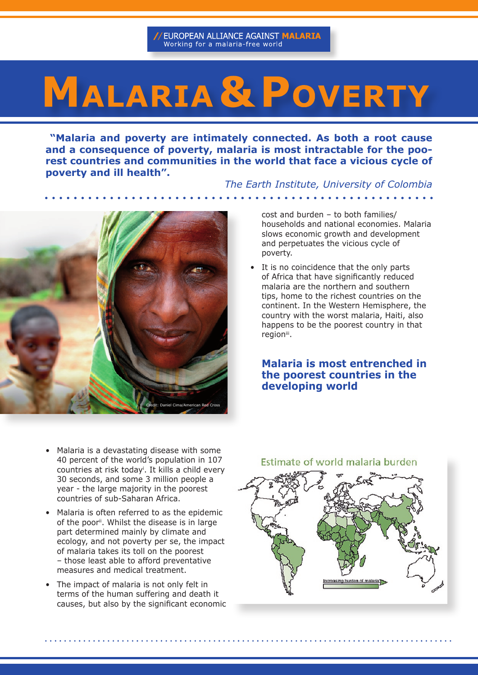# **MALARIA & POVERTY**

 **"Malaria and poverty are intimately connected. As both a root cause and a consequence of poverty, malaria is most intractable for the poorest countries and communities in the world that face a vicious cycle of poverty and ill health".** 

*The Earth Institute, University of Colombia* 



cost and burden – to both families/ households and national economies. Malaria slows economic growth and development and perpetuates the vicious cycle of poverty.

• It is no coincidence that the only parts of Africa that have significantly reduced malaria are the northern and southern tips, home to the richest countries on the continent. In the Western Hemisphere, the country with the worst malaria, Haiti, also happens to be the poorest country in that region<sup>iii</sup>.

# **Malaria is most entrenched in the poorest countries in the developing world**

- Malaria is a devastating disease with some 40 percent of the world's population in 107 countries at risk todayi . It kills a child every 30 seconds, and some 3 million people a year - the large majority in the poorest countries of sub-Saharan Africa.
- Malaria is often referred to as the epidemic of the poor<sup>ii</sup>. Whilst the disease is in large part determined mainly by climate and ecology, and not poverty per se, the impact of malaria takes its toll on the poorest – those least able to afford preventative measures and medical treatment.
- The impact of malaria is not only felt in terms of the human suffering and death it causes, but also by the significant economic

Estimate of world malaria burden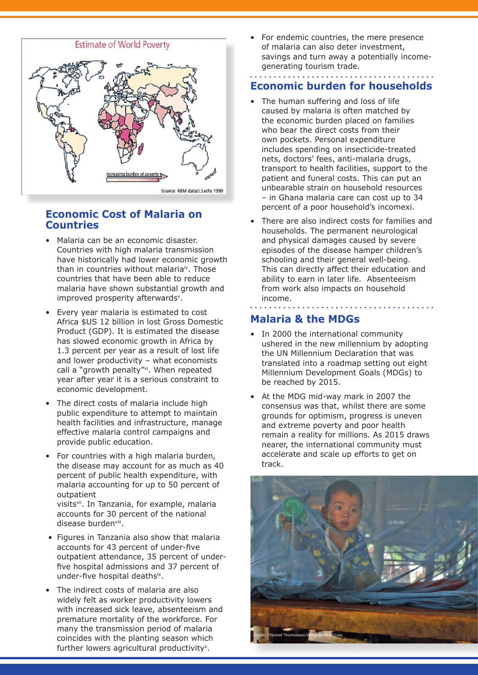

# **Economic Cost of Malaria on Countries**

- • Malaria can be an economic disaster. Countries with high malaria transmission have historically had lower economic growth than in countries without malaria<sup>iv</sup>. Those countries that have been able to reduce malaria have shown substantial growth and improved prosperity afterwards<sup>v</sup>.
- • Every year malaria is estimated to cost Africa \$US 12 billion in lost Gross Domestic Product (GDP). It is estimated the disease has slowed economic growth in Africa by 1.3 percent per year as a result of lost life and lower productivity – what economists call a "growth penalty"<sup>vi</sup>. When repeated year after year it is a serious constraint to economic development.
- The direct costs of malaria include high public expenditure to attempt to maintain health facilities and infrastructure, manage effective malaria control campaigns and provide public education.
- For countries with a high malaria burden, the disease may account for as much as 40 percent of public health expenditure, with malaria accounting for up to 50 percent of outpatient visitsvii. In Tanzania, for example, malaria accounts for 30 percent of the national

disease burdenvill.

- Figures in Tanzania also show that malaria accounts for 43 percent of under-five outpatient attendance, 35 percent of underfive hospital admissions and 37 percent of under-five hospital deathsix.
- • The indirect costs of malaria are also widely felt as worker productivity lowers with increased sick leave, absenteeism and premature mortality of the workforce. For many the transmission period of malaria coincides with the planting season which further lowers agricultural productivity<sup>x</sup>.

For endemic countries, the mere presence of malaria can also deter investment, savings and turn away a potentially incomegenerating tourism trade.

# **Economic burden for households**

. . . . . . . . . . . . . . . . .

- The human suffering and loss of life caused by malaria is often matched by the economic burden placed on families who bear the direct costs from their own pockets. Personal expenditure includes spending on insecticide-treated nets, doctors' fees, anti-malaria drugs, transport to health facilities, support to the patient and funeral costs. This can put an unbearable strain on household resources – in Ghana malaria care can cost up to 34 percent of a poor household's incomexi.
- There are also indirect costs for families and households. The permanent neurological and physical damages caused by severe episodes of the disease hamper children's schooling and their general well-being. This can directly affect their education and ability to earn in later life. Absenteeism from work also impacts on household income.

# **Malaria & the MDGs**

- In 2000 the international community ushered in the new millennium by adopting the UN Millennium Declaration that was translated into a roadmap setting out eight Millennium Development Goals (MDGs) to be reached by 2015.
- • At the MDG mid-way mark in 2007 the consensus was that, whilst there are some grounds for optimism, progress is uneven and extreme poverty and poor health remain a reality for millions. As 2015 draws nearer, the international community must accelerate and scale up efforts to get on track.

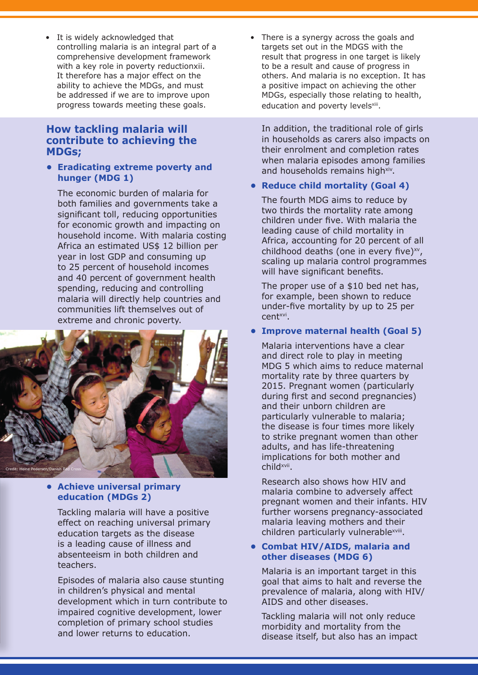• It is widely acknowledged that controlling malaria is an integral part of a comprehensive development framework with a key role in poverty reductionxii. It therefore has a major effect on the ability to achieve the MDGs, and must be addressed if we are to improve upon progress towards meeting these goals.

# **How tackling malaria will contribute to achieving the MDGs;**

#### **• Eradicating extreme poverty and hunger (MDG 1)**

 The economic burden of malaria for both families and governments take a significant toll, reducing opportunities for economic growth and impacting on household income. With malaria costing Africa an estimated US\$ 12 billion per year in lost GDP and consuming up to 25 percent of household incomes and 40 percent of government health spending, reducing and controlling malaria will directly help countries and communities lift themselves out of extreme and chronic poverty.



#### **• Achieve universal primary education (MDGs 2)**

 Tackling malaria will have a positive effect on reaching universal primary education targets as the disease is a leading cause of illness and absenteeism in both children and teachers.

 Episodes of malaria also cause stunting in children's physical and mental development which in turn contribute to impaired cognitive development, lower completion of primary school studies and lower returns to education.

• There is a synergy across the goals and targets set out in the MDGS with the result that progress in one target is likely to be a result and cause of progress in others. And malaria is no exception. It has a positive impact on achieving the other MDGs, especially those relating to health, education and poverty levelsxiii.

 In addition, the traditional role of girls in households as carers also impacts on their enrolment and completion rates when malaria episodes among families and households remains highxiv.

#### **• Reduce child mortality (Goal 4)**

 The fourth MDG aims to reduce by two thirds the mortality rate among children under five. With malaria the leading cause of child mortality in Africa, accounting for 20 percent of all childhood deaths (one in every five) $x^v$ , scaling up malaria control programmes will have significant benefits.

 The proper use of a \$10 bed net has, for example, been shown to reduce under-five mortality by up to 25 per centxvi.

#### **• Improve maternal health (Goal 5)**

 Malaria interventions have a clear and direct role to play in meeting MDG 5 which aims to reduce maternal mortality rate by three quarters by 2015. Pregnant women (particularly during first and second pregnancies) and their unborn children are particularly vulnerable to malaria; the disease is four times more likely to strike pregnant women than other adults, and has life-threatening implications for both mother and childxvii.

 Research also shows how HIV and malaria combine to adversely affect pregnant women and their infants. HIV further worsens pregnancy-associated malaria leaving mothers and their children particularly vulnerablexviii.

#### **• Combat HIV/AIDS, malaria and other diseases (MDG 6)**

 Malaria is an important target in this goal that aims to halt and reverse the prevalence of malaria, along with HIV/ AIDS and other diseases.

 Tackling malaria will not only reduce morbidity and mortality from the disease itself, but also has an impact